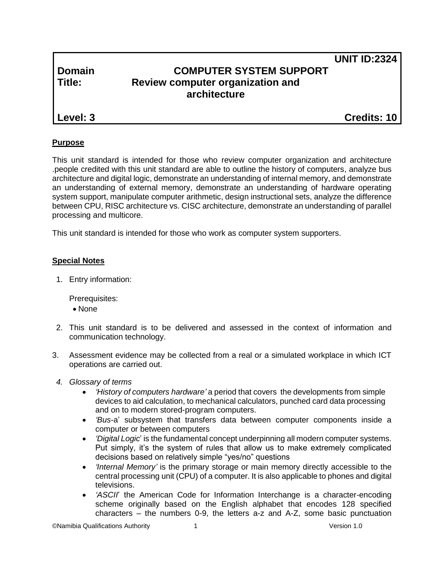# **Domain COMPUTER SYSTEM SUPPORT Title: Review computer organization and architecture**

**Level: 3 Credits: 10**

**UNIT ID:2324**

#### **Purpose**

This unit standard is intended for those who review computer organization and architecture .people credited with this unit standard are able to outline the history of computers, analyze bus architecture and digital logic, demonstrate an understanding of internal memory, and demonstrate an understanding of external memory, demonstrate an understanding of hardware operating system support, manipulate computer arithmetic, design instructional sets, analyze the difference between CPU, RISC architecture vs. CISC architecture, demonstrate an understanding of parallel processing and multicore.

This unit standard is intended for those who work as computer system supporters.

#### **Special Notes**

1. Entry information:

Prerequisites:

- None
- 2. This unit standard is to be delivered and assessed in the context of information and communication technology.
- 3. Assessment evidence may be collected from a real or a simulated workplace in which ICT operations are carried out.
- *4. Glossary of terms*
	- *'History of computers hardware'* a period that covers the developments from simple devices to aid calculation, to mechanical calculators, [punched card](http://en.wikipedia.org/wiki/Punched_card) data processing and on to modern [stored-program computers.](http://en.wikipedia.org/wiki/Stored-program_computer)
	- *'Bus*-a' subsystem that transfers data between computer components inside a computer or between computers
	- *'Digital Logic*' is the fundamental concept underpinning all modern computer systems. Put simply, it's the system of rules that allow us to make extremely complicated decisions based on relatively simple "yes/no" questions
	- *'Internal Memory'* is the primary storage or main memory directly accessible to the central processing unit (CPU) of a computer. It is also applicable to phones and digital televisions.
	- *'ASCII*' the American Code for Information Interchange is a character-encoding scheme originally based on the English alphabet that encodes 128 specified characters – the numbers 0-9, the letters a-z and A-Z, some basic punctuation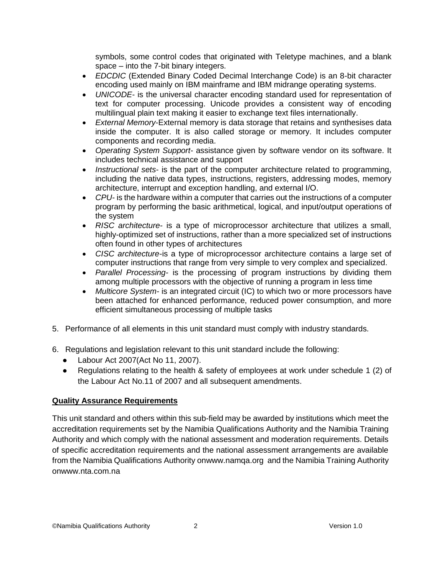symbols, some control codes that originated with Teletype machines, and a blank space – into the 7-bit binary integers.

- *EDCDIC* (Extended Binary Coded Decimal Interchange Code) is an 8-bit character encoding used mainly on IBM mainframe and IBM midrange operating systems.
- *UNICODE* is the universal character encoding standard used for representation of text for computer processing. Unicode provides a consistent way of encoding multilingual plain text making it easier to exchange text files internationally.
- *External Memory*-External memory is data storage that retains and synthesises data inside the computer. It is also called storage or memory. It includes computer components and recording media.
- *Operating System Support* assistance given by software vendor on its software. It includes technical assistance and support
- *Instructional sets* is the part of the computer architecture related to programming, including the native data types, instructions, registers, addressing modes, memory architecture, interrupt and exception handling, and external I/O.
- *CPU-* is the [hardware](http://en.wikipedia.org/wiki/Computer_hardware) within a [computer](http://en.wikipedia.org/wiki/Computer) that carries out the [instructions](http://en.wikipedia.org/wiki/Instruction_%28computer_science%29) of a [computer](http://en.wikipedia.org/wiki/Computer_program)  [program](http://en.wikipedia.org/wiki/Computer_program) by performing the basic arithmetical, logical, and [input/output](http://en.wikipedia.org/wiki/Input/output) operations of the system
- *RISC architecture-* is a type of microprocessor architecture that utilizes a small, highly-optimized set of instructions, rather than a more specialized set of instructions often found in other types of architectures
- *CISC architecture-*is a type of microprocessor architecture contains a large set of computer instructions that range from very simple to very complex and specialized.
- *Parallel Processing-* is the processing of [program](http://searchsoftwarequality.techtarget.com/definition/program) instructions by dividing them among multiple [processors](http://searchcio-midmarket.techtarget.com/definition/processor) with the objective of running a program in less time
- *Multicore System-* is an integrated circuit [\(IC\)](http://searchcio-midmarket.techtarget.com/definition/integrated-circuit) to which two or more [processors](http://searchcio-midmarket.techtarget.com/definition/processor) have been attached for enhanced performance, reduced power consumption, and more efficient simultaneous processing of multiple tasks
- 5. Performance of all elements in this unit standard must comply with industry standards.
- 6. Regulations and legislation relevant to this unit standard include the following:
	- Labour Act 2007(Act No 11, 2007).
	- Regulations relating to the health & safety of employees at work under schedule 1 (2) of the Labour Act No.11 of 2007 and all subsequent amendments.

#### **Quality Assurance Requirements**

This unit standard and others within this sub-field may be awarded by institutions which meet the accreditation requirements set by the Namibia Qualifications Authority and the Namibia Training Authority and which comply with the national assessment and moderation requirements. Details of specific accreditation requirements and the national assessment arrangements are available from the Namibia Qualifications Authority o[nwww.namqa.org](http://www.namqa.org/) and the Namibia Training Authority o[nwww.nta.com.na](http://www.nta.com.na/)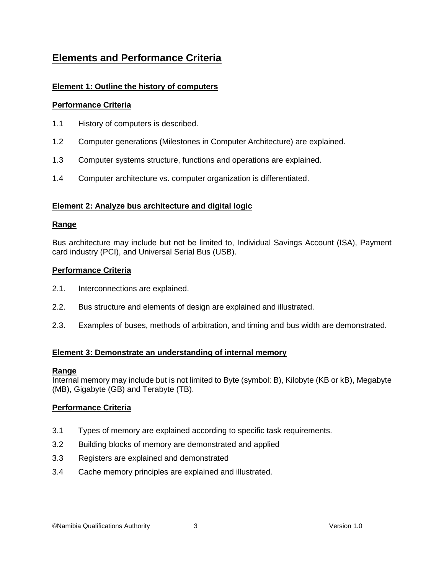# **Elements and Performance Criteria**

### **Element 1: Outline the history of computers**

#### **Performance Criteria**

- 1.1 History of computers is described.
- 1.2 Computer generations (Milestones in Computer Architecture) are explained.
- 1.3 Computer systems structure, functions and operations are explained.
- 1.4 Computer architecture vs. computer organization is differentiated.

#### **Element 2: Analyze bus architecture and digital logic**

#### **Range**

Bus architecture may include but not be limited to, Individual Savings Account (ISA), Payment card industry (PCI), and Universal Serial Bus (USB).

#### **Performance Criteria**

- 2.1. Interconnections are explained.
- 2.2. Bus structure and elements of design are explained and illustrated.
- 2.3. Examples of buses, methods of arbitration, and timing and bus width are demonstrated.

#### **Element 3: Demonstrate an understanding of internal memory**

#### **Range**

Internal memory may include but is not limited to Byte (symbol: B), Kilobyte (KB or kB), Megabyte (MB), Gigabyte (GB) and Terabyte (TB).

#### **Performance Criteria**

- 3.1 Types of memory are explained according to specific task requirements.
- 3.2 Building blocks of memory are demonstrated and applied
- 3.3 Registers are explained and demonstrated
- 3.4 Cache memory principles are explained and illustrated.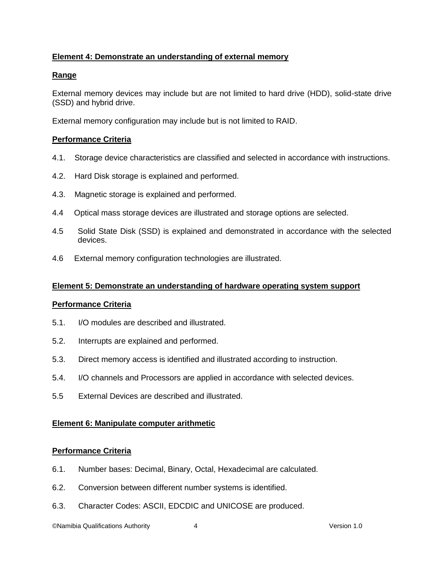#### **Element 4: Demonstrate an understanding of external memory**

#### **Range**

External memory devices may include but are not limited to hard drive (HDD), solid-state drive (SSD) and hybrid drive.

External memory configuration may include but is not limited to RAID.

#### **Performance Criteria**

- 4.1. Storage device characteristics are classified and selected in accordance with instructions.
- 4.2. Hard Disk storage is explained and performed.
- 4.3. Magnetic storage is explained and performed.
- 4.4 Optical mass storage devices are illustrated and storage options are selected.
- 4.5 Solid State Disk (SSD) is explained and demonstrated in accordance with the selected devices.
- 4.6 External memory configuration technologies are illustrated.

#### **Element 5: Demonstrate an understanding of hardware operating system support**

#### **Performance Criteria**

- 5.1. I/O modules are described and illustrated.
- 5.2. Interrupts are explained and performed.
- 5.3. Direct memory access is identified and illustrated according to instruction.
- 5.4. I/O channels and Processors are applied in accordance with selected devices.
- 5.5 External Devices are described and illustrated.

#### **Element 6: Manipulate computer arithmetic**

#### **Performance Criteria**

- 6.1. Number bases: Decimal, Binary, Octal, Hexadecimal are calculated.
- 6.2. Conversion between different number systems is identified.
- 6.3. Character Codes: ASCII, EDCDIC and UNICOSE are produced.

©Namibia Qualifications Authority 4 Version 1.0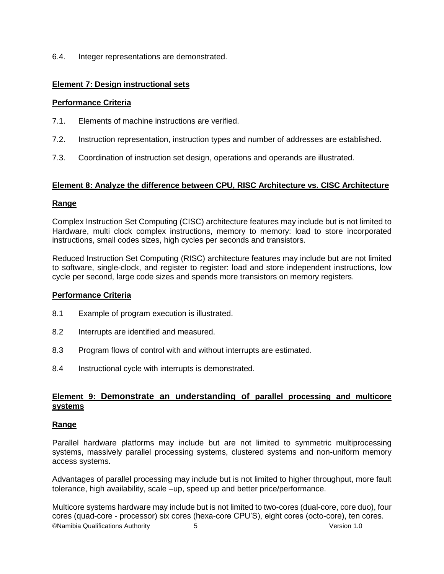6.4. Integer representations are demonstrated.

#### **Element 7: Design instructional sets**

#### **Performance Criteria**

- 7.1. Elements of machine instructions are verified.
- 7.2. Instruction representation, instruction types and number of addresses are established.
- 7.3. Coordination of instruction set design, operations and operands are illustrated.

#### **Element 8: Analyze the difference between CPU, RISC Architecture vs. CISC Architecture**

#### **Range**

Complex Instruction Set Computing (CISC) architecture features may include but is not limited to Hardware, multi clock complex instructions, memory to memory: load to store incorporated instructions, small codes sizes, high cycles per seconds and transistors.

Reduced Instruction Set Computing (RISC) architecture features may include but are not limited to software, single-clock, and register to register: load and store independent instructions, low cycle per second, large code sizes and spends more transistors on memory registers.

#### **Performance Criteria**

- 8.1 Example of program execution is illustrated.
- 8.2 Interrupts are identified and measured.
- 8.3 Program flows of control with and without interrupts are estimated.
- 8.4 Instructional cycle with interrupts is demonstrated.

#### **Element 9: Demonstrate an understanding of parallel processing and multicore systems**

#### **Range**

Parallel hardware platforms may include but are not limited to symmetric multiprocessing systems, massively parallel processing systems, clustered systems and non-uniform memory access systems.

Advantages of parallel processing may include but is not limited to higher throughput, more fault tolerance, high availability, scale –up, speed up and better price/performance.

©Namibia Qualifications Authority 5 Version 1.0 Multicore systems hardware may include but is not limited to two-cores (dual-core, core duo), four cores (quad-core - processor) six cores (hexa-core CPU'S), eight cores (octo-core), ten cores.